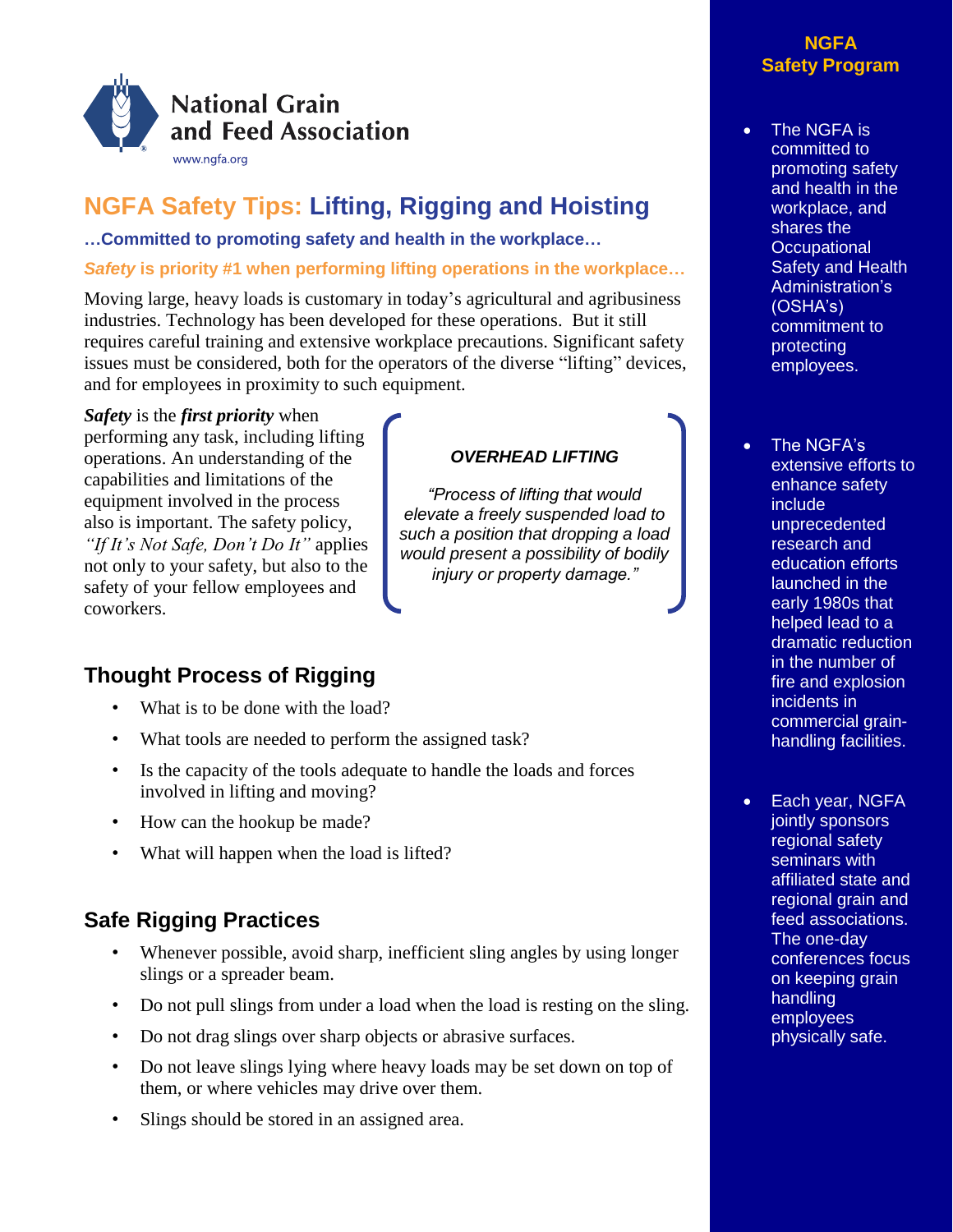

# **NGFA Safety Tips: Lifting, Rigging and Hoisting**

**…Committed to promoting safety and health in the workplace…**

## *Safety* **is priority #1 when performing lifting operations in the workplace…**

Moving large, heavy loads is customary in today's agricultural and agribusiness industries. Technology has been developed for these operations. But it still requires careful training and extensive workplace precautions. Significant safety issues must be considered, both for the operators of the diverse "lifting" devices, and for employees in proximity to such equipment.

*OVERHEAD LIFTING*

*"Process of lifting that would elevate a freely suspended load to such a position that dropping a load would present a possibility of bodily injury or property damage."*

*Safety* is the *first priority* when

performing any task, including lifting operations. An understanding of the capabilities and limitations of the equipment involved in the process also is important. The safety policy, *"If It's Not Safe, Don't Do It"* applies not only to your safety, but also to the safety of your fellow employees and coworkers.

## **Thought Process of Rigging**

- What is to be done with the load?
- What tools are needed to perform the assigned task?
- Is the capacity of the tools adequate to handle the loads and forces involved in lifting and moving?
- How can the hookup be made?
- What will happen when the load is lifted?

## **Safe Rigging Practices**

- Whenever possible, avoid sharp, inefficient sling angles by using longer slings or a spreader beam.
- Do not pull slings from under a load when the load is resting on the sling.
- Do not drag slings over sharp objects or abrasive surfaces.
- Do not leave slings lying where heavy loads may be set down on top of them, or where vehicles may drive over them.
- Slings should be stored in an assigned area.

## **NGFA Safety Program**

• The NGFA is committed to promoting safety and health in the workplace, and shares the **Occupational Safety and Health** Administration's (OSHA's) commitment to protecting employees.

• The NGFA's extensive efforts to enhance safety include unprecedented research and education efforts launched in the early 1980s that helped lead to a dramatic reduction in the number of fire and explosion incidents in commercial grainhandling facilities.

• Each year, NGFA jointly sponsors regional safety seminars with affiliated state and regional grain and feed associations. The one-day conferences focus on keeping grain handling employees physically safe.